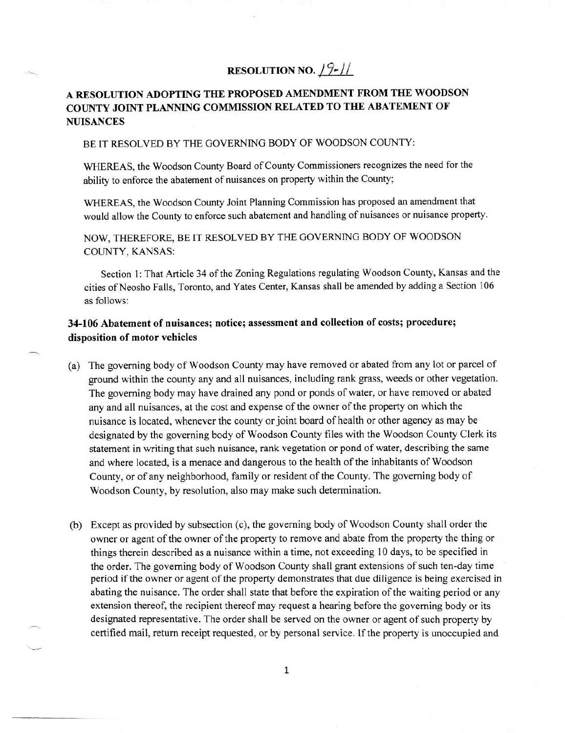## **RESOLUTION NO.**  $19-11$

## **A RESOLUTION ADOPTING THE PROPOSED AMENDMENT FROM THE WOODSON COUNTY JOINT PLANNING COMMISSION RELATED TO THE ABATEMENT OF NUISANCES**

## BE IT RESOLVED BY THE GOVERNING BODY OF WOODSON COUNTY:

WHEREAS, the Woodson County Board of County Commissioners recognizes the need for the ability to enforce the abatement of nuisances on property within the County;

WHEREAS, the Woodson County Joint Planning Commission has proposed an amendment that would allow the County to enforce such abatement and handling of nuisances or nuisance property.

NOW, THEREFORE, BE IT RESOLVED BY THE GOVERNING BODY OF WOODSON COUNTY, KANSAS:

Section 1: That Article 34 of the Zoning Regulations regulating Woodson County, Kansas and the cities of Neosho Falls, Toronto, and Yates Center, Kansas shall be amended by adding a Section 106 as follows:

## **34-106 Abatement of nuisances; notice; assessment and collection of costs; procedure; disposition of motor vehicles**

- (a) The governing body of Woodson County may have removed or abated from any lot or parcel of ground within the county any and all nuisances, including rank grass, weeds or other vegetation. The governing body may have drained any pond or ponds of water, or have removed or abated any and all nuisances, at the cost and expense of the owner of the property on which the nuisance is located, whenever the county or joint board of health or other agency as may be designated by the governing body of Woodson County files with the Woodson County Clerk its statement in writing that such nuisance, rank vegetation or pond of water, describing the same and where located, is a menace and dangerous to the health of the inhabitants of Woodson County, or of any neighborhood, family or resident of the County. The governing body of Woodson County, by resolution, also may make such determination.
- (h) Except as provided by subsection (c), the governing body of Woodson County shall order the owner or agent of the owner of the property to remove and abate from the property the thing or things therein described as a nuisance within a time, not exceeding 10 days, to be specified in the order. The governing body of Woodson County shall grant extensions of such ten-day time period if the owner or agent of the property demonstrates that due diligence is being exercised in abating the nuisance. The order shall state that before the expiration of the waiting period or any extension thereof, the recipient thereof may request a hearing before the governing body or its designated representative. The order shall be served on the owner or agent of such property by certified mail, return receipt requested, or by personal service. If the property is unoccupied and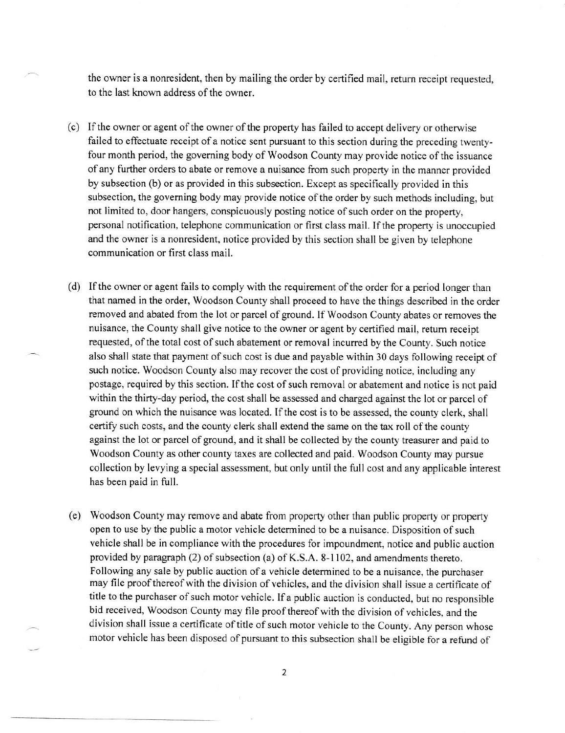the owner is a nonresident, then by mailing the order by certified mail, return receipt requested, to the last known address of the owner.

- (c) If the owner or agent of the owner of the property has failed to accept delivery or otherwise failed to effectuate receipt of a notice sent pursuant to this section during the preceding twentyfour month period, the governing body of Woodson County may provide notice of the issuance of any further orders to abate or remove a nuisance from such property in the manner provided by subsection (b) or as provided in this subsection. Except as specifically provided in this subsection, the governing body may provide notice of the order by such methods including, but not limited to, door hangers, conspicuously posting notice of such order on the property, personal notification, telephone communication or first class mail. If the property is unoccupied and the owner is a nonresident, notice provided by this section shall be given by telephone communication or first class mail.
- If the owner or agent fails to comply with the requirement of the order for a period longer than that named in the order, Woodson County shall proceed to have the things described in the order removed and abated from the lot or parcel of ground. If Woodson County abates or removes the nuisance, the County shall give notice to the owner or agent by certified mail, return receipt requested, of the total cost of such abatement or removal incurred by the County. Such notice also shall state that payment of such cost is due and payable within 30 days following receipt of such notice. Woodson County also may recover the cost of providing notice, including any postage, required by this section. If the cost of such removal or abatement and notice is not paid within the thirty-day period, the cost shall be assessed and charged against the lot or parcel of ground on which the nuisance was located. If the cost is to be assessed, the county clerk, shall certify such costs, and the county clerk shall extend the same on the tax roll of the county against the lot or parcel of ground, and it shall be collected by the county treasurer and paid to Woodson County as other county taxes are collected and paid. Woodson County may pursue collection by levying a special assessment, but only until the full cost and any applicable interest has been paid in full.
- Woodson County may remove and abate from property other than public property or property open to use by the public a motor vehicle determined to be a nuisance. Disposition of such vehicle shall be in compliance with the procedures for impoundment, notice and public auction provided by paragraph (2) of subsection (a) of K.S.A. 8-1102, and amendments thereto. Following any sale by public auction of a vehicle determined to be a nuisance, the purchaser may file proof thereof with the division of vehicles, and the division shall issue a certificate of title to the purchaser of such motor vehicle. If a public auction is conducted, but no responsible bid received, Woodson County may file proof thereof with the division of vehicles, and the division shall issue a certificate of title of such motor vehicle to the County. Any person whose motor vehicle has been disposed of pursuant to this subsection shall be eligible for a refund of

2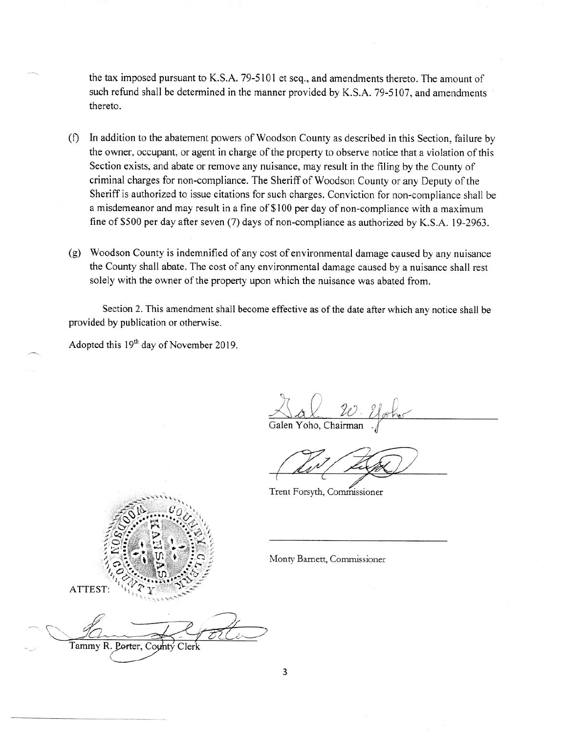the tax imposed pursuant to K.S.A. 79-5101 et seq., and amendments thereto. The amount of such refund shall be determined in the manner provided by K.S.A. 79-5107, and amendments thereto.

- (1) In addition to the abatement powers of Woodson County as described in this Section, failure by the owner, occupant, or agent in charge of the property to observe notice that a violation of this Section exists, and abate or remove any nuisance, may result in the filing by the County of criminal charges for non-compliance. The Sheriff of Woodson County or any Deputy of the Sheriff is authorized to issue citations for such charges. Conviction for non-compliance shall be a misdemeanor and may result in a fine of \$100 per day of non-compliance with a maximum fine of \$500 per day after seven  $(7)$  days of non-compliance as authorized by K.S.A. 19-2963.
- (g) Woodson County is indemnified of any cost of environmental damage caused by any nuisance the County shall abate. The cost of any environmental damage caused by a nuisance shall rest solely with the owner of the property upon which the nuisance was abated from.

Section 2. This amendment shall become effective as of the date after which any notice shall be provided by publication or otherwise.

Adopted this  $19<sup>th</sup>$  day of November 2019.

\_ *714940* 

Galen Yoho, Chairman .

Trent Forsyth, Commissioner



Monty Barnett, Commissioner